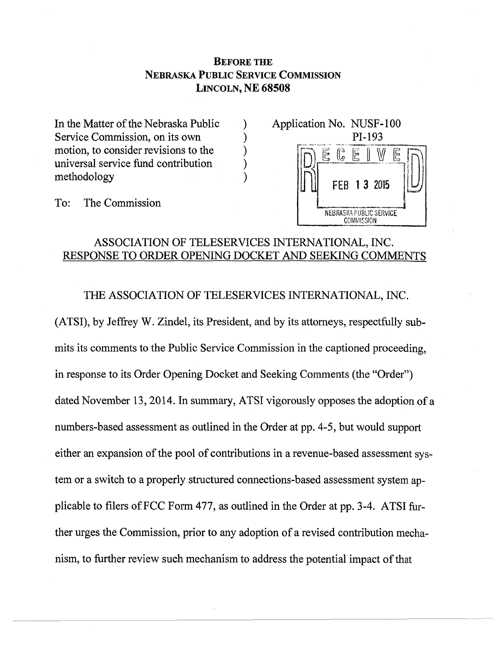# **BEFORE THE NEBRASKA PUBLIC SERVICE COMMISSION LINCOLN, NE 68508**

In the Matter of the Nebraska Public Service Commission, on its own motion, to consider revisions to the universal service fund contribution methodology



To: The Commission

# ASSOCIATION OF TELESERVICES INTERNATIONAL, INC. RESPONSE TO ORDER OPENING DOCKET AND SEEKING COMMENTS

℩

THE ASSOCIATION OF TELESERVICES INTERNATIONAL, INC.

(ATSI), by Jeffrey W. Zindel, its President, and by its attorneys, respectfully submits its comments to the Public Service Commission in the captioned proceeding, in response to its Order Opening Docket and Seeking Comments (the "Order") dated November 13, 2014. In summary, ATSI vigorously opposes the adoption of a numbers-based assessment as outlined in the Order at pp. 4-5, but would support either an expansion of the pool of contributions in a revenue-based assessment system or a switch to a properly structured connections-based assessment system applicable to filers of FCC Form 477, as outlined in the Order at pp. 3-4. ATSI further urges the Commission, prior to any adoption of a revised contribution mechanism, to further review such mechanism to address the potential impact of that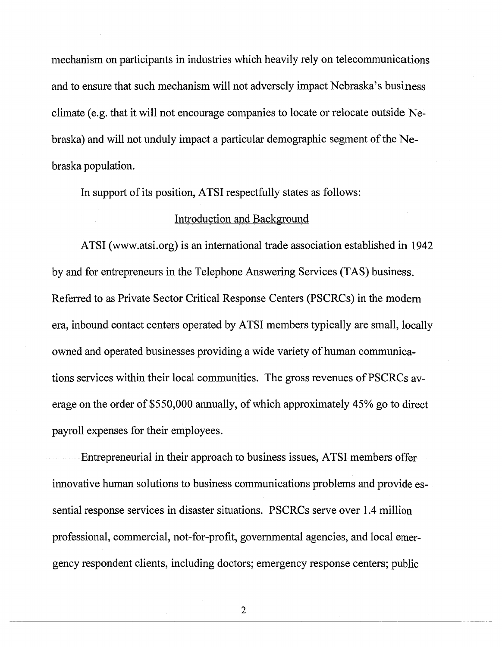mechanism on participants in industries which heavily rely on telecommunications and to ensure that such mechanism will not adversely impact Nebraska's business climate (e.g. that it will not encourage companies to locate or relocate outside Nebraska) and will not unduly impact a particular demographic segment of the Nebraska population.

In support of its position, ATSI respectfully states as follows:

# Introduction and Background

ATSI ([www.atsi.org\)](http://www.atsi.org) is an international trade association established in 1942 by and for entrepreneurs in the Telephone Answering Services (TAS) business. Referred to as Private Sector Critical Response Centers (PSCRCs) in the modern era, inbound contact centers operated by ATSI members typically are small, locally owned and operated businesses providing a wide variety of human communications services within their local communities. The gross revenues of PSCRCs average on the order of \$550,000 annually, of which approximately 45% go to direct payroll expenses for their employees.

Entrepreneurial in their approach to business issues, ATSI members offer innovative human solutions to business communications problems and provide essential response services in disaster situations. PSCRCs serve over 1.4 million professional, commercial, not-for-profit, governmental agencies, and local emergency respondent clients, including doctors; emergency response centers; public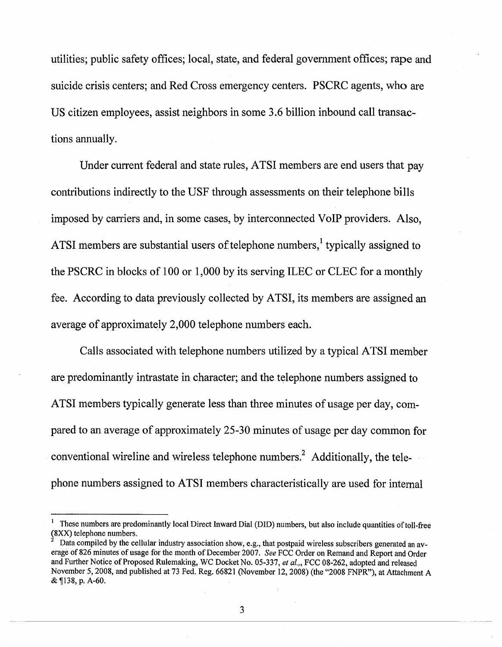utilities; public safety offices; local, state, and federal government offices; rape and suicide crisis centers; and Red Cross emergency centers. PSCRC agents, who are US citizen employees, assist neighbors in some 3.6 billion inbound call transactions annually.

Under current federal and state rules, ATSI members are end users that pay contributions indirectly to the USF through assessments on their telephone bills imposed by carriers and, in some cases, by interconnected VoIP providers. Also, ATSI members are substantial users of telephone numbers,<sup>1</sup> typically assigned to the PSCRC in blocks of 100 or 1,000 by its serving ILEC or CLEC for a monthly fee. According to data previously collected by ATSI, its members are assigned an average of approximately 2,000 telephone numbers each.

Calls associated with telephone numbers utilized by a typical ATSI member are predominantly intrastate in character; and the telephone numbers assigned to ATSI members typically generate less than three minutes of usage per day, compared to an average of approximately 25-30 minutes of usage per day common for conventional wireline and wireless telephone numbers.<sup>2</sup> Additionally, the tele- $-\frac{1}{2}$ phone numbers assigned to ATSI members characteristically are used for internal

**<sup>1</sup>These numbers are predominantly local Direct Inward Dial (DID) numbers, but also include quantities of toll-free (8XX) telephone numbers.** 

**<sup>2</sup>Data compiled by the cellular industry association show, e.g., that postpaid wireless subscribers generated an average of 826 minutes of usage for the month of December 2007.** *See* **FCC Order on Remand and Report and Order and Further Notice of Proposed Rulemaking, WC Docket No. 05-337,** *et al."* **FCC 08-262, adopted and released November 5, 2008, and published at 73 Fed. Reg. 66821 (November 12,2008) (the "2008 FNPR"), at Attachment A &fl38,p.A-60.**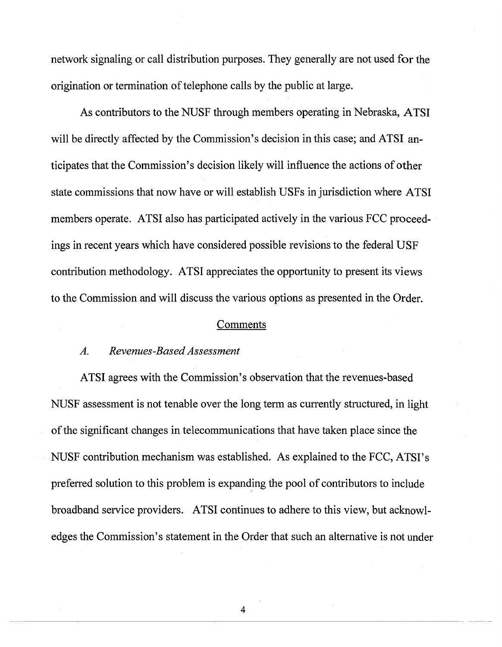network signaling or call distribution purposes. They generally are not used for the origination or termination of telephone calls by the public at large.

As contributors to the NUSF through members operating in Nebraska, ATSI will be directly affected by the Commission's decision in this case; and ATSI anticipates that the Commission's decision likely will influence the actions of other state commissions that now have or will establish USFs in jurisdiction where ATSI members operate. ATSI also has participated actively in the various FCC proceedings in recent years which have considered possible revisions to the federal USF contribution methodology. ATSI appreciates the opportunity to present its views to the Commission and will discuss the various options as presented in the Order.

## Comments

## *A. Revenues-Based Assessment*

ATSI agrees with the Commission's observation that the revenues-based NUSF assessment is not tenable over the long term as currently structured, in light of the significant changes in telecommunications that have taken place since the NUSF contribution mechanism was established. As explained to the FCC, ATSI's preferred solution to this problem is expanding the pool of contributors to include broadband service providers. ATSI continues to adhere to this view, but acknowledges the Commission's statement in the Order that such an alternative is not under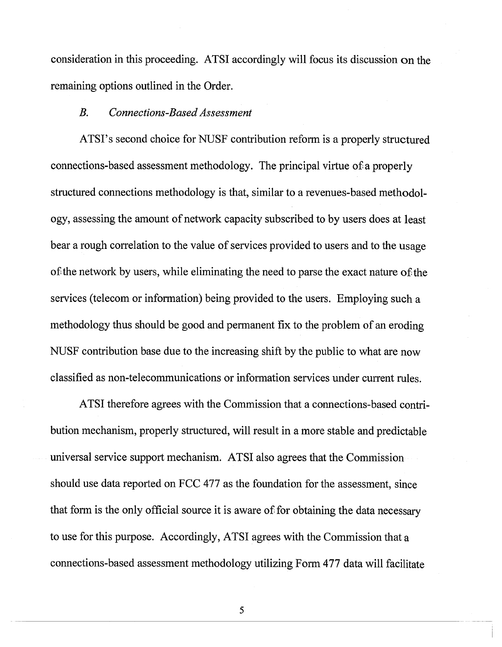consideration in this proceeding. ATSI accordingly will focus its discussion on the remaining options outlined in the Order.

## *B. Connections-Based Assessment*

ATSI's second choice for NUSF contribution reform is a properly structured connections-based assessment methodology. The principal virtue of a properly structured connections methodology is that, similar to a revenues-based methodology, assessing the amount of network capacity subscribed to by users does at least bear a rough correlation to the value of services provided to users and to the usage of the network by users, while eliminating the need to parse the exact nature of the services (telecom or information) being provided to the users. Employing such a methodology thus should be good and permanent fix to the problem of an eroding NUSF contribution base due to the increasing shift by the public to what are now classified as non-telecommunications or information services under current rules.

ATSI therefore agrees with the Commission that a connections-based contribution mechanism, properly structured, will result in a more stable and predictable universal service support mechanism. ATSI also agrees that the Commission should use data reported on FCC 477 as the foundation for the assessment, since that form is the only official source it is aware of for obtaining the data necessary to use for this purpose. Accordingly, ATSI agrees with the Commission that a connections-based assessment methodology utilizing Form 477 data will facilitate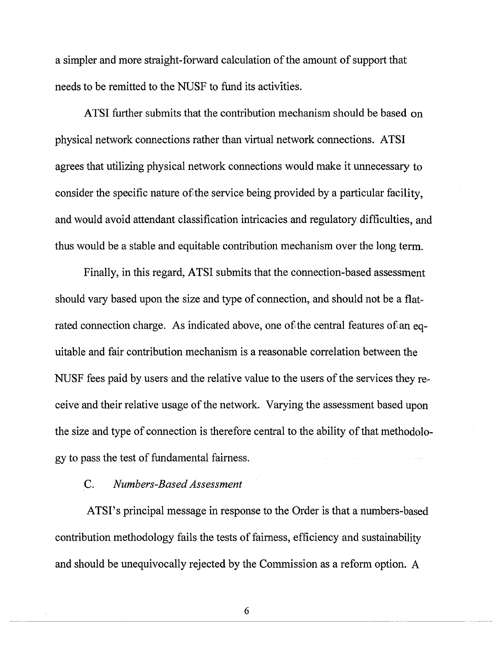a simpler and more straight-forward calculation of the amount of support that needs to be remitted to the NUSF to fund its activities.

ATSI further submits that the contribution mechanism should be based on physical network connections rather than virtual network connections. ATSI agrees that utilizing physical network connections would make it unnecessary to consider the specific nature of the service being provided by a particular facility, and would avoid attendant classification intricacies and regulatory difficulties, and thus would be a stable and equitable contribution mechanism over the long term.

Finally, in this regard, ATSI submits that the connection-based assessment should vary based upon the size and type of connection, and should not be a flatrated connection charge. As indicated above, one of the central features of an equitable and fair contribution mechanism is a reasonable correlation between the NUSF fees paid by users and the relative value to the users of the services they receive and their relative usage of the network. Varying the assessment based upon the size and type of connection is therefore central to the ability of that methodology to pass the test of fundamental fairness.

## C. *Numbers-Based Assessment*

ATSI's principal message in response to the Order is that a numbers-based contribution methodology fails the tests of fairness, efficiency and sustainability and should be unequivocally rejected by the Commission as a reform option. A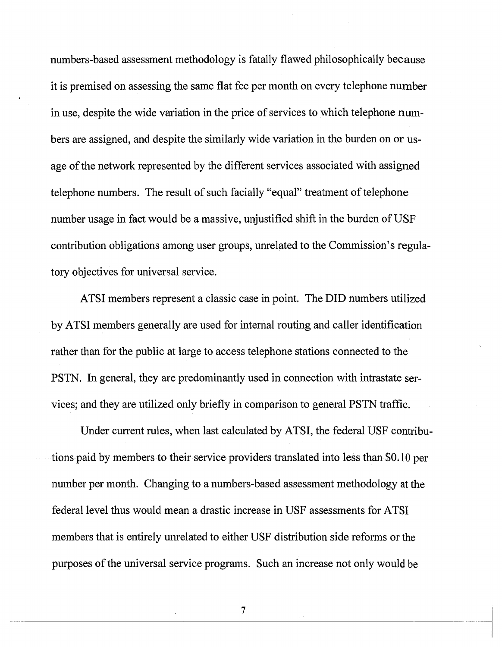numbers-based assessment methodology is fatally flawed philosophically because it is premised on assessing the same flat fee per month on every telephone number in use, despite the wide variation in the price of services to which telephone numbers are assigned, and despite the similarly wide variation in the burden on or usage of the network represented by the different services associated with assigned telephone numbers. The result of such facially "equal" treatment of telephone number usage in fact would be a massive, unjustified shift in the burden of USF contribution obligations among user groups, unrelated to the Commission's regulatory objectives for universal service.

ATSI members represent a classic case in point. The DID numbers utilized by ATSI members generally are used for internal routing and caller identification rather than for the public at large to access telephone stations connected to the PSTN. In general, they are predominantly used in connection with intrastate services; and they are utilized only briefly in comparison to general PSTN traffic.

Under current rules, when last calculated by ATSI, the federal USF contributions paid by members to their service providers translated into less than \$0.10 per number per month. Changing to a numbers-based assessment methodology at the federal level thus would mean a drastic increase in USF assessments for ATSI members that is entirely unrelated to either USF distribution side reforms or the purposes of the universal service programs. Such an increase not only would be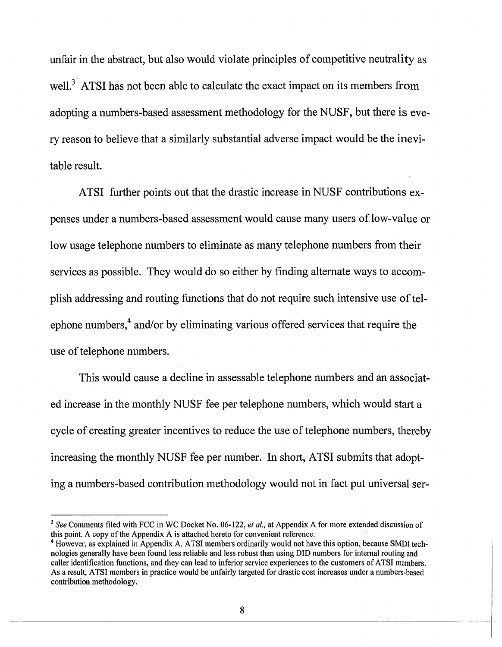unfair in the abstract, but also would violate principles of competitive neutrality as well.<sup>3</sup> ATSI has not been able to calculate the exact impact on its members from adopting a numbers-based assessment methodology for the NUSF, but there is every reason to believe that a similarly substantial adverse impact would be the inevitable result.

ATSI further points out that the drastic increase in NUSF contributions expenses under a numbers-based assessment would cause many users of low-value or low usage telephone numbers to eliminate as many telephone numbers from their services as possible. They would do so either by finding alternate ways to accomplish addressing and routing functions that do not require such intensive use of telephone numbers,<sup>4</sup> and/or by eliminating various offered services that require the use of telephone numbers.

This would cause a decline in assessable telephone numbers and an associated increase in the monthly NUSF fee per telephone numbers, which would start a cycle of creating greater incentives to reduce the use of telephone numbers, thereby increasing the monthly NUSF fee per number. In short, ATSI submits that adopting a numbers-based contribution methodology would not in fact put universal ser-

*<sup>3</sup>See* **Comments filed with FCC in WC Docket No. 06-122,** *et al.,* **at Appendix A for more extended discussion of this point. A copy of the Appendix A is attached hereto for convenient reference.** 

**<sup>4</sup>However, as explained in Appendix A, ATSI members ordinarily would not have this option, because SMDI technologies generally have been found less reliable and less robust than using DID numbers for internal routing and caller identification functions, and they can lead to inferior service experiences to the customers of ATSI members. As a result, ATSI members in practice would be unfairly targeted for drastic cost increases under a numbers-based contribution methodology.**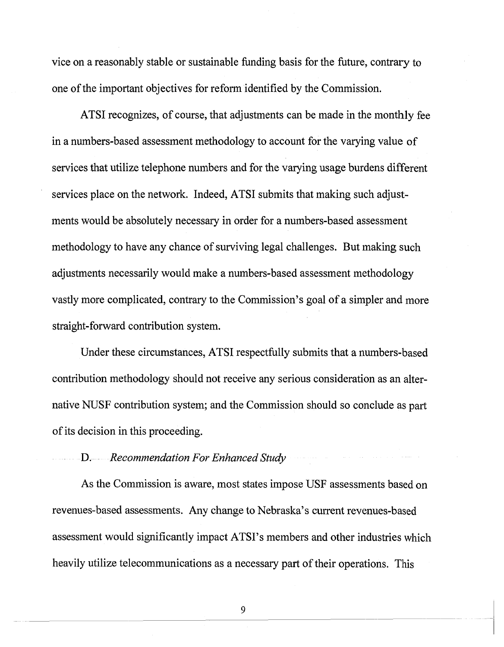vice on a reasonably stable or sustainable funding basis for the future, contrary to one of the important objectives for reform identified by the Commission.

ATSI recognizes, of course, that adjustments can be made in the monthly fee in a numbers-based assessment methodology to account for the varying value of services that utilize telephone numbers and for the varying usage burdens different services place on the network. Indeed, ATSI submits that making such adjustments would be absolutely necessary in order for a numbers-based assessment methodology to have any chance of surviving legal challenges. But making such adjustments necessarily would make a numbers-based assessment methodology vastly more complicated, contrary to the Commission's goal of a simpler and more straight-forward contribution system.

Under these circumstances, ATSI respectfully submits that a numbers-based contribution methodology should not receive any serious consideration as an alternative NUSF contribution system; and the Commission should so conclude as part of its decision in this proceeding.

## D. *Recommendation For Enhanced Study*

As the Commission is aware, most states impose USF assessments based on revenues-based assessments. Any change to Nebraska's current revenues-based assessment would significantly impact ATSI's members and other industries which heavily utilize telecommunications as a necessary part of their operations. This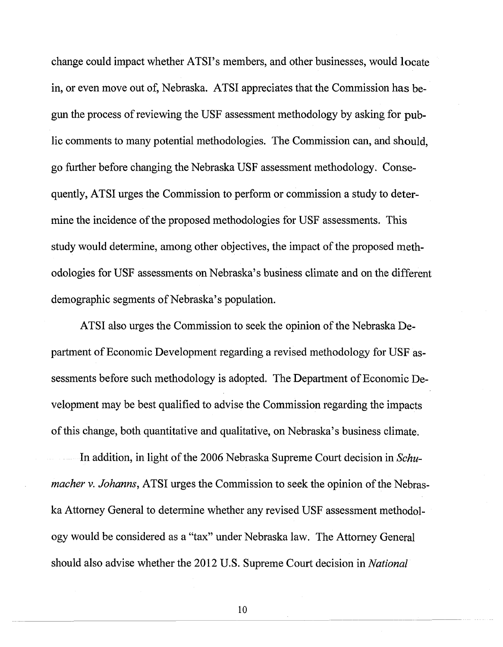change could impact whether ATSI's members, and other businesses, would locate in, or even move out of, Nebraska. ATSI appreciates that the Commission has begun the process of reviewing the USF assessment methodology by asking for public comments to many potential methodologies. The Commission can, and should, go further before changing the Nebraska USF assessment methodology. Consequently, ATSI urges the Commission to perform or commission a study to determine the incidence of the proposed methodologies for USF assessments. This study would determine, among other objectives, the impact of the proposed methodologies for USF assessments on Nebraska's business climate and on the different demographic segments of Nebraska's population.

ATSI also urges the Commission to seek the opinion of the Nebraska Department of Economic Development regarding a revised methodology for USF assessments before such methodology is adopted. The Department of Economic Development may be best qualified to advise the Commission regarding the impacts of this change, both quantitative and qualitative, on Nebraska's business climate.

In addition, in light of the 2006 Nebraska Supreme Court decision in *Schumacher* v. *Johanns,* ATSI urges the Commission to seek the opinion of the Nebraska Attorney General to determine whether any revised USF assessment methodology would be considered as a "tax" under Nebraska law. The Attorney General should also advise whether the 2012 U.S. Supreme Court decision in *National*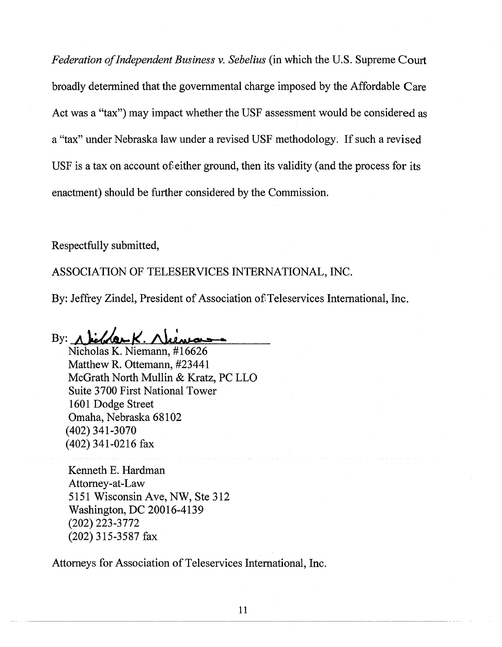*Federation of Independent Business* v. *Sebelius* (in which the U.S. Supreme Court broadly determined that the governmental charge imposed by the Affordable Care Act was a "tax") may impact whether the USF assessment would be considered as a "tax" under Nebraska law under a revised USF methodology. If such a revised USF is a tax on account of either ground, then its validity (and the process for its enactment) should be further considered by the Commission.

Respectfully submitted,

ASSOCIATION OF TELESERVICES INTERNATIONAL, INC.

By: Jeffrey Zindel, President of Association of Teleservices International, Inc.

By:  $\Lambda$  behave  $K$ . Niem

Nicholas K. Niemann, #16626 Matthew R. Ottemann, #23441 McGrath North Mullin & Kratz, PC LLO Suite 3700 First National Tower 1601 Dodge Street Omaha, Nebraska 68102 (402)341-3070 (402) 341-0216 fax

Kenneth E. Hardman Attorney-at-Law 5151 Wisconsin Ave, NW, Ste 312 Washington, DC 20016-4139 (202) 223-3772 (202) 315-3587 fax

Attorneys for Association of Teleservices International, Inc.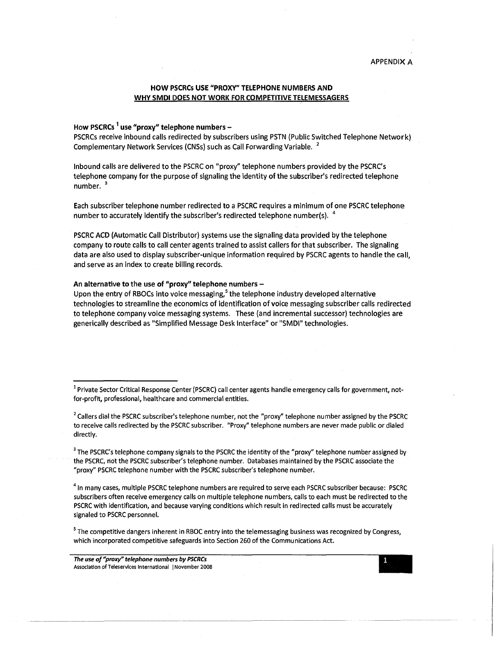## **HOW PSCRCs USE "PROXY" TELEPHONE NUMBERS AND WHY SMDI DOES NOT WORK FOR COMPETITIVE TELEMESSAGERS**

### **How PSCRCs<sup>1</sup>use "proxy" telephone numbers -**

PSCRCs receive inbound calls redirected by subscribers using PSTN (Public Switched Telephone Network) Complementary Network Services (CNSs) such as Call Forwarding Variable.<sup>2</sup>

Inbound calls are delivered to the PSCRC on "proxy" telephone numbers provided by the PSCRC's telephone company for the purpose of signaling the identity of the subscriber's redirected telephone number.<sup>3</sup>

Each subscriber telephone number redirected to a PSCRC requires a minimum of one PSCRC telephone number to accurately identify the subscriber's redirected telephone number(s).  $4$ 

PSCRC ACD (Automatic Call Distributor) systems use the signaling data provided by the telephone company to route calls to call center agents trained to assist callers for that subscriber. The signaling data are also used to display subscriber-unique information required by PSCRC agents to handle the call, and serve as an index to create billing records.

### **An alternative to the use of "proxy" telephone numbers -**

Upon the entry of RBOCs into voice messaging,<sup>5</sup> the telephone industry developed alternative technologies to streamline the economics of identification of voice messaging subscriber calls redirected to telephone company voice messaging systems. These (and incremental successor) technologies are generically described as "Simplified Message Desk Interface" or "SMDI" technologies.

<sup>1</sup> Private Sector Critical Response Center (PSCRC) call center agents handle emergency calls for government, notfor-profit, professional, healthcare and commercial entities.

<sup>2</sup> Callers dial the PSCRC subscriber's telephone number, not the "proxy" telephone number assigned by the PSCRC to receive calls redirected by the PSCRC subscriber. "Proxy" telephone numbers are never made public or dialed directly.

<sup>3</sup> The PSCRC's telephone company signals to the PSCRC the identity of the "proxy" telephone number assigned by the PSCRC, riot the PSCRC subscriber's telephone number. Databases maintained by the PSCRC associate the "proxy" PSCRC telephone number with the PSCRC subscriber's telephone number.

 $<sup>4</sup>$  In many cases, multiple PSCRC telephone numbers are required to serve each PSCRC subscriber because: PSCRC</sup> subscribers often receive emergency calls on multiple telephone numbers, calls to each must be redirected to the PSCRC with identification, and because varying conditions which result in redirected calls must be accurately signaled to PSCRC personnel.

<sup>5</sup>The competitive dangers inherent in RBOC entry into the telemessaging business was recognized by Congress, which incorporated competitive safeguards into Section 260 of the Communications Act.

*The use of "proxy" telephone numbers by PSCRCs*  **Association of Teleservices International | November 2008** 

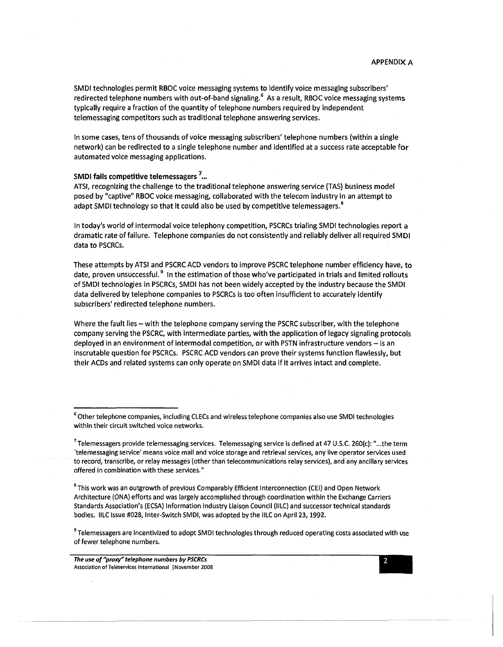SMDI technologies permit RBOC voice messaging systems to identify voice messaging subscribers' redirected telephone numbers with out-of-band signaling.<sup>6</sup> As a result, RBOC voice messaging systems typically require a fraction of the quantity of telephone numbers required by independent telemessaging competitors such as traditional telephone answering services.

In some cases, tens of thousands of voice messaging subscribers' telephone numbers (within a single network) can be redirected to a single telephone number and identified at a success rate acceptable for automated voice messaging applications.

#### **SMDI fails competitive telemessagers<sup>1</sup> ...**

ATSI, recognizing the challenge to the traditional telephone answering service (TAS) business model posed by "captive" RBOC voice messaging, collaborated with the telecom industry in an attempt to adapt SMDI technology so that it could also be used by competitive telemessagers.<sup>8</sup>

In today's world of intermodal voice telephony competition, PSCRCs trialing SMDI technologies report a dramatic rate of failure. Telephone companies do not consistently and reliably deliver all required SMDI data to PSCRCs.

These attempts by ATSI and PSCRC ACD vendors to improve PSCRC telephone number efficiency have, to date, proven unsuccessful.<sup>9</sup> In the estimation of those who've participated in trials and limited rollouts of SMDI technologies in PSCRCs, SMDI has not been widely accepted by the industry because the SMDI data delivered by telephone companies to PSCRCs is too often insufficient to accurately identify subscribers' redirected telephone numbers.

Where the fault lies - with the telephone company serving the PSCRC subscriber, with the telephone company serving the PSCRC, with intermediate parties, with the application of legacy signaling protocols deployed in an environment of intermodal competition, or with PSTN infrastructure vendors  $-$  is an inscrutable question for PSCRCs. PSCRC ACD vendors can prove their systems function flawlessly, but their ACDs and related systems can only operate on SMDI data if it arrives intact and complete.

<sup>8</sup> This work was an outgrowth of previous Comparably Efficient Interconnection (CEI) and Open Network Architecture (ONA) efforts and was largely accomplished through coordination within the Exchange Carriers Standards Association's (ECSA) Information Industry Liaison Council (IILC) and successor technical standards bodies. IILC Issue #028, Inter-Switch SMDI, was adopted by the IILC on April 23,1992.

<sup>9</sup> Telemessagers are incentivized to adopt SMDI technologies through reduced operating costs associated with use of fewer telephone numbers.

*The use of "proxy" telephone numbers by PSCRCs*  **Association of Teleservices International | November 2008** 

<sup>&</sup>lt;sup>6</sup> Other telephone companies, including CLECs and wireless telephone companies also use SMDI technologies within their circuit switched voice networks.

 $^7$  Telemessagers provide telemessaging services. Telemessaging service is defined at 47 U.S.C. 260(c): "...the term 'telemessaging service' means voice mail and voice storage and retrieval services, any live operator services used to record, transcribe, or relay messages (other than telecommunications relay services), and any ancillary services offered in combination with these services."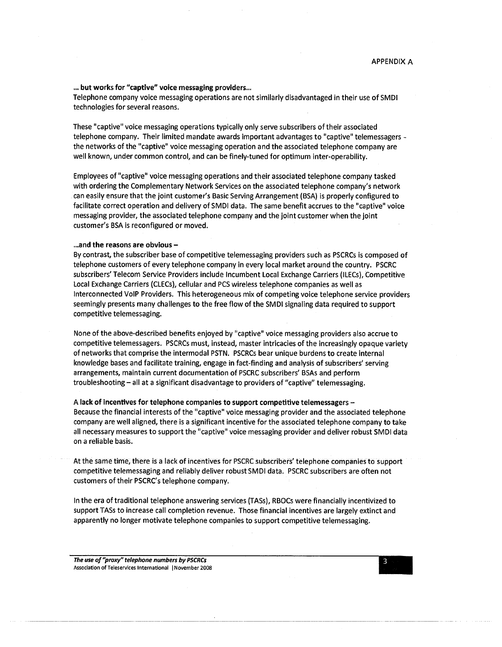### ... but works for "captive" voice messaging providers...

Telephone company voice messaging operations are not similarly disadvantaged in their use of SMDI technologies for several reasons.

These "captive" voice messaging operations typically only serve subscribers of their associated telephone company. Their limited mandate awards important advantages to "captive" telemessagers the networks of the "captive" voice messaging operation and the associated telephone company are well known, under common control, and can be finely-tuned for optimum inter-operability.

Employees of "captive" voice messaging operations and their associated telephone company tasked with ordering the Complementary Network Services on the associated telephone company's network can easily ensure that the joint customer's Basic Serving Arrangement (BSA) is properly configured to facilitate correct operation and delivery of SMDI data. The same benefit accrues to the "captive" voice messaging provider, the associated telephone company and the joint customer when the joint customer's BSA is reconfigured or moved.

### **...and the reasons are obvious -**

By contrast, the subscriber base of competitive telemessaging providers such as PSCRCs is composed of telephone customers of every telephone company in every local market around the country. PSCRC subscribers' Telecom Service Providers include Incumbent Local Exchange Carriers (ILECs), Competitive Local Exchange Carriers (CLECs), cellular and PCS wireless telephone companies as well as Interconnected VoIP Providers. This heterogeneous mix of competing voice telephone service providers seemingly presents many challenges to the free flow of the SMDI signaling data required to support competitive telemessaging.

None of the above-described benefits enjoyed by "captive" voice messaging providers also accrue to competitive telemessagers. PSCRCs must, instead, master intricacies of the increasingly opaque variety of networks that comprise the intermodal PSTN. PSCRCs bear unique burdens to create internal knowledge bases and facilitate training, engage in fact-finding and analysis of subscribers' serving arrangements, maintain current documentation of PSCRC subscribers' BSAs and perform troubleshooting - all at a significant disadvantage to providers of "captive" telemessaging.

### **A lack of incentives for telephone companies to support competitive telemessagers -**

Because the financial interests of the "captive" voice messaging provider and the associated telephone company are well aligned, there is a significant incentive for the associated telephone company to take all necessary measures to support the "captive" voice messaging provider and deliver robust SMDI data on a reliable basis.

At the same time, there is a lack of incentives for PSCRC subscribers' telephone companies to support competitive telemessaging and reliably deliver robust SMDI data. PSCRC subscribers are often not customers of their PSCRC's telephone company.

In the era of traditional telephone answering services (TASs), RBOCs were financially incentivized to support TASs to increase call completion revenue. Those financial incentives are largely extinct and apparently no longer motivate telephone companies to support competitive telemessaging.